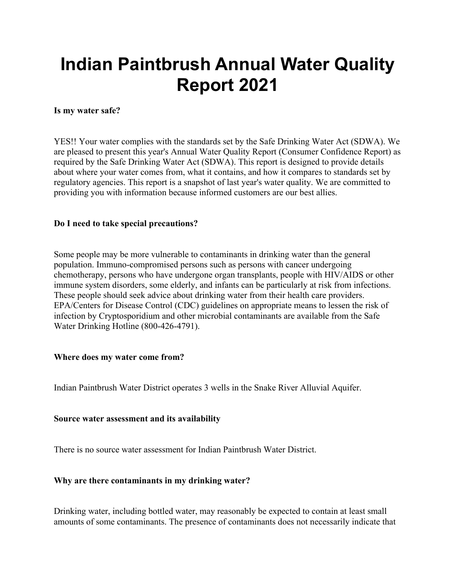# **Indian Paintbrush Annual Water Quality Report 2021**

### **Is my water safe?**

YES!! Your water complies with the standards set by the Safe Drinking Water Act (SDWA). We are pleased to present this year's Annual Water Quality Report (Consumer Confidence Report) as required by the Safe Drinking Water Act (SDWA). This report is designed to provide details about where your water comes from, what it contains, and how it compares to standards set by regulatory agencies. This report is a snapshot of last year's water quality. We are committed to providing you with information because informed customers are our best allies.

# **Do I need to take special precautions?**

Some people may be more vulnerable to contaminants in drinking water than the general population. Immuno-compromised persons such as persons with cancer undergoing chemotherapy, persons who have undergone organ transplants, people with HIV/AIDS or other immune system disorders, some elderly, and infants can be particularly at risk from infections. These people should seek advice about drinking water from their health care providers. EPA/Centers for Disease Control (CDC) guidelines on appropriate means to lessen the risk of infection by Cryptosporidium and other microbial contaminants are available from the Safe Water Drinking Hotline (800-426-4791).

# **Where does my water come from?**

Indian Paintbrush Water District operates 3 wells in the Snake River Alluvial Aquifer.

# **Source water assessment and its availability**

There is no source water assessment for Indian Paintbrush Water District.

# **Why are there contaminants in my drinking water?**

Drinking water, including bottled water, may reasonably be expected to contain at least small amounts of some contaminants. The presence of contaminants does not necessarily indicate that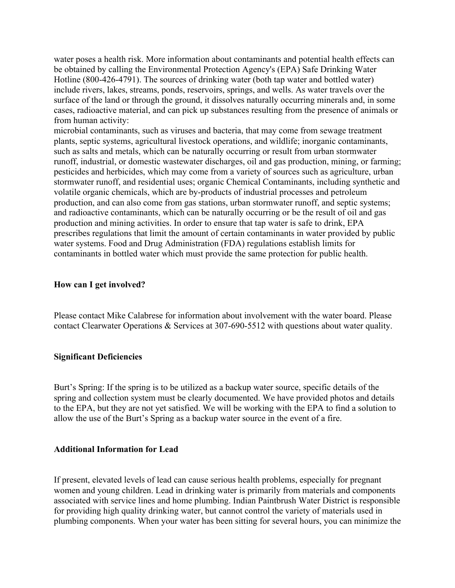water poses a health risk. More information about contaminants and potential health effects can be obtained by calling the Environmental Protection Agency's (EPA) Safe Drinking Water Hotline (800-426-4791). The sources of drinking water (both tap water and bottled water) include rivers, lakes, streams, ponds, reservoirs, springs, and wells. As water travels over the surface of the land or through the ground, it dissolves naturally occurring minerals and, in some cases, radioactive material, and can pick up substances resulting from the presence of animals or from human activity:

microbial contaminants, such as viruses and bacteria, that may come from sewage treatment plants, septic systems, agricultural livestock operations, and wildlife; inorganic contaminants, such as salts and metals, which can be naturally occurring or result from urban stormwater runoff, industrial, or domestic wastewater discharges, oil and gas production, mining, or farming; pesticides and herbicides, which may come from a variety of sources such as agriculture, urban stormwater runoff, and residential uses; organic Chemical Contaminants, including synthetic and volatile organic chemicals, which are by-products of industrial processes and petroleum production, and can also come from gas stations, urban stormwater runoff, and septic systems; and radioactive contaminants, which can be naturally occurring or be the result of oil and gas production and mining activities. In order to ensure that tap water is safe to drink, EPA prescribes regulations that limit the amount of certain contaminants in water provided by public water systems. Food and Drug Administration (FDA) regulations establish limits for contaminants in bottled water which must provide the same protection for public health.

#### **How can I get involved?**

Please contact Mike Calabrese for information about involvement with the water board. Please contact Clearwater Operations & Services at 307-690-5512 with questions about water quality.

#### **Significant Deficiencies**

Burt's Spring: If the spring is to be utilized as a backup water source, specific details of the spring and collection system must be clearly documented. We have provided photos and details to the EPA, but they are not yet satisfied. We will be working with the EPA to find a solution to allow the use of the Burt's Spring as a backup water source in the event of a fire.

#### **Additional Information for Lead**

If present, elevated levels of lead can cause serious health problems, especially for pregnant women and young children. Lead in drinking water is primarily from materials and components associated with service lines and home plumbing. Indian Paintbrush Water District is responsible for providing high quality drinking water, but cannot control the variety of materials used in plumbing components. When your water has been sitting for several hours, you can minimize the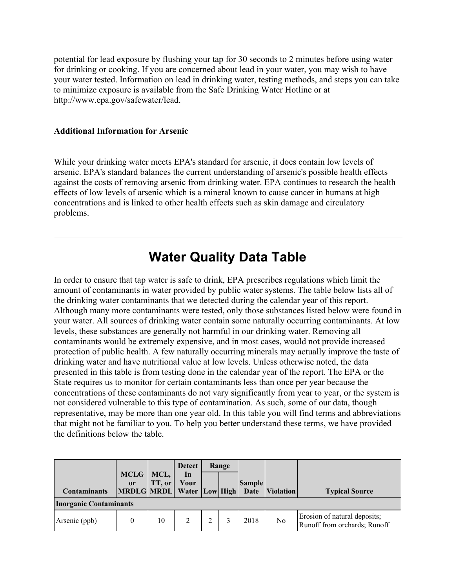potential for lead exposure by flushing your tap for 30 seconds to 2 minutes before using water for drinking or cooking. If you are concerned about lead in your water, you may wish to have your water tested. Information on lead in drinking water, testing methods, and steps you can take to minimize exposure is available from the Safe Drinking Water Hotline or at http://www.epa.gov/safewater/lead.

#### **Additional Information for Arsenic**

While your drinking water meets EPA's standard for arsenic, it does contain low levels of arsenic. EPA's standard balances the current understanding of arsenic's possible health effects against the costs of removing arsenic from drinking water. EPA continues to research the health effects of low levels of arsenic which is a mineral known to cause cancer in humans at high concentrations and is linked to other health effects such as skin damage and circulatory problems.

# **Water Quality Data Table**

In order to ensure that tap water is safe to drink, EPA prescribes regulations which limit the amount of contaminants in water provided by public water systems. The table below lists all of the drinking water contaminants that we detected during the calendar year of this report. Although many more contaminants were tested, only those substances listed below were found in your water. All sources of drinking water contain some naturally occurring contaminants. At low levels, these substances are generally not harmful in our drinking water. Removing all contaminants would be extremely expensive, and in most cases, would not provide increased protection of public health. A few naturally occurring minerals may actually improve the taste of drinking water and have nutritional value at low levels. Unless otherwise noted, the data presented in this table is from testing done in the calendar year of the report. The EPA or the State requires us to monitor for certain contaminants less than once per year because the concentrations of these contaminants do not vary significantly from year to year, or the system is not considered vulnerable to this type of contamination. As such, some of our data, though representative, may be more than one year old. In this table you will find terms and abbreviations that might not be familiar to you. To help you better understand these terms, we have provided the definitions below the table.

| <b>Contaminants</b>           | <b>MCLG</b><br>or<br>MRDLG MRDL Water Low High | MCL,<br>TT, or | <b>Detect</b><br>In<br>Your | Range | <b>Sample</b> | Date Violation | <b>Typical Source</b>                                        |
|-------------------------------|------------------------------------------------|----------------|-----------------------------|-------|---------------|----------------|--------------------------------------------------------------|
| <b>Inorganic Contaminants</b> |                                                |                |                             |       |               |                |                                                              |
| Arsenic (ppb)                 |                                                | 10             |                             |       | 2018          | No             | Erosion of natural deposits;<br>Runoff from orchards; Runoff |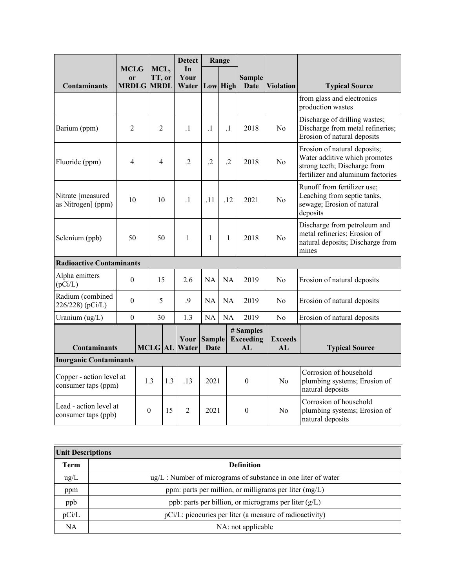|                                                 |                                              |  |                               |  | <b>Detect</b>       |                       | Range           |                                     |                      |                                                                                                                                    |
|-------------------------------------------------|----------------------------------------------|--|-------------------------------|--|---------------------|-----------------------|-----------------|-------------------------------------|----------------------|------------------------------------------------------------------------------------------------------------------------------------|
| <b>Contaminants</b>                             | <b>MCLG</b><br><sub>or</sub><br><b>MRDLG</b> |  | MCL,<br>TT, or<br><b>MRDL</b> |  | In<br>Your<br>Water |                       | <b>Low</b> High | <b>Sample</b><br>Date               | <b>Violation</b>     | <b>Typical Source</b>                                                                                                              |
|                                                 |                                              |  |                               |  |                     |                       |                 |                                     |                      | from glass and electronics<br>production wastes                                                                                    |
| Barium (ppm)                                    | $\overline{2}$                               |  | $\overline{2}$                |  | $\cdot$ 1           | $\cdot$ 1             | $\cdot$ 1       | 2018                                | No                   | Discharge of drilling wastes;<br>Discharge from metal refineries;<br>Erosion of natural deposits                                   |
| Fluoride (ppm)                                  | 4                                            |  | 4                             |  | $\cdot$ .2          | $\overline{.2}$       | $\cdot$ .2      | 2018                                | N <sub>0</sub>       | Erosion of natural deposits;<br>Water additive which promotes<br>strong teeth; Discharge from<br>fertilizer and aluminum factories |
| Nitrate [measured<br>as Nitrogen] (ppm)         | 10                                           |  | 10                            |  | $\cdot$ 1           | .11                   | .12             | 2021                                | No                   | Runoff from fertilizer use;<br>Leaching from septic tanks,<br>sewage; Erosion of natural<br>deposits                               |
| Selenium (ppb)                                  | 50                                           |  | 50                            |  | 1                   | 1                     | 1               | 2018                                | N <sub>o</sub>       | Discharge from petroleum and<br>metal refineries; Erosion of<br>natural deposits; Discharge from<br>mines                          |
| <b>Radioactive Contaminants</b>                 |                                              |  |                               |  |                     |                       |                 |                                     |                      |                                                                                                                                    |
| Alpha emitters<br>(pCi/L)                       | $\theta$                                     |  | 15                            |  | 2.6                 | <b>NA</b>             | <b>NA</b>       | 2019                                | No                   | Erosion of natural deposits                                                                                                        |
| Radium (combined<br>226/228) (pCi/L)            | $\boldsymbol{0}$                             |  | 5                             |  | .9                  | <b>NA</b>             | <b>NA</b>       | 2019                                | N <sub>0</sub>       | Erosion of natural deposits                                                                                                        |
| Uranium $(ug/L)$                                | $\boldsymbol{0}$                             |  | 30                            |  | 1.3                 | NA                    | <b>NA</b>       | 2019                                | No                   | Erosion of natural deposits                                                                                                        |
| <b>Contaminants</b>                             |                                              |  | <b>MCLG AL</b>                |  | Your<br>Water       | <b>Sample</b><br>Date |                 | # Samples<br><b>Exceeding</b><br>AL | <b>Exceeds</b><br>AL | <b>Typical Source</b>                                                                                                              |
| <b>Inorganic Contaminants</b>                   |                                              |  |                               |  |                     |                       |                 |                                     |                      |                                                                                                                                    |
| Copper - action level at<br>consumer taps (ppm) |                                              |  | 1.3<br>1.3                    |  | .13                 | 2021                  |                 | $\theta$                            | No                   | Corrosion of household<br>plumbing systems; Erosion of<br>natural deposits                                                         |
| Lead - action level at<br>consumer taps (ppb)   |                                              |  | $\theta$<br>15                |  | $\overline{2}$      | 2021                  |                 | $\theta$                            | No                   | Corrosion of household<br>plumbing systems; Erosion of<br>natural deposits                                                         |

| <b>Unit Descriptions</b> |                                                                        |  |  |  |  |
|--------------------------|------------------------------------------------------------------------|--|--|--|--|
| Term                     | <b>Definition</b>                                                      |  |  |  |  |
| $\text{ug/L}$            | $\text{ug/L}:$ Number of micrograms of substance in one liter of water |  |  |  |  |
| ppm                      | ppm: parts per million, or milligrams per liter $(mg/L)$               |  |  |  |  |
| ppb                      | ppb: parts per billion, or micrograms per liter (g/L)                  |  |  |  |  |
| pCi/L                    | pCi/L: picocuries per liter (a measure of radioactivity)               |  |  |  |  |
| NA                       | NA: not applicable                                                     |  |  |  |  |